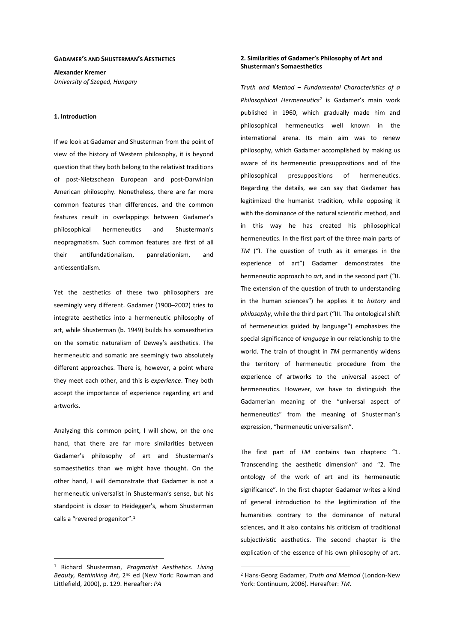### **GADAMER'S AND SHUSTERMAN'S AESTHETICS**

**Alexander Kremer**  *University of Szeged, Hungary* 

#### **1. Introduction**

If we look at Gadamer and Shusterman from the point of view of the history of Western philosophy, it is beyond question that they both belong to the relativist traditions of post-Nietzschean European and post-Darwinian American philosophy. Nonetheless, there are far more common features than differences, and the common features result in overlappings between Gadamer's philosophical hermeneutics and Shusterman's neopragmatism. Such common features are first of all their antifundationalism, panrelationism, and antiessentialism.

Yet the aesthetics of these two philosophers are seemingly very different. Gadamer (1900–2002) tries to integrate aesthetics into a hermeneutic philosophy of art, while Shusterman (b. 1949) builds his somaesthetics on the somatic naturalism of Dewey's aesthetics. The hermeneutic and somatic are seemingly two absolutely different approaches. There is, however, a point where they meet each other, and this is *experience*. They both accept the importance of experience regarding art and artworks.

Analyzing this common point, I will show, on the one hand, that there are far more similarities between Gadamer's philosophy of art and Shusterman's somaesthetics than we might have thought. On the other hand, I will demonstrate that Gadamer is not a hermeneutic universalist in Shusterman's sense, but his standpoint is closer to Heidegger's, whom Shusterman calls a "revered progenitor".<sup>1</sup>

 $\overline{a}$ 

## **2. Similarities of Gadamer's Philosophy of Art and Shusterman's Somaesthetics**

*Truth and Method – Fundamental Characteristics of a Philosophical Hermeneutics<sup>2</sup>* is Gadamer's main work published in 1960, which gradually made him and philosophical hermeneutics well known in the international arena. Its main aim was to renew philosophy, which Gadamer accomplished by making us aware of its hermeneutic presuppositions and of the philosophical presuppositions of hermeneutics. Regarding the details, we can say that Gadamer has legitimized the humanist tradition, while opposing it with the dominance of the natural scientific method, and in this way he has created his philosophical hermeneutics. In the first part of the three main parts of *TM* ("I. The question of truth as it emerges in the experience of art") Gadamer demonstrates the hermeneutic approach to *art*, and in the second part ("II. The extension of the question of truth to understanding in the human sciences") he applies it to *history* and *philosophy*, while the third part ("III. The ontological shift of hermeneutics guided by language") emphasizes the special significance of *language* in our relationship to the world. The train of thought in *TM* permanently widens the territory of hermeneutic procedure from the experience of artworks to the universal aspect of hermeneutics. However, we have to distinguish the Gadamerian meaning of the "universal aspect of hermeneutics" from the meaning of Shusterman's expression, "hermeneutic universalism".

The first part of *TM* contains two chapters: "1. Transcending the aesthetic dimension" and "2. The ontology of the work of art and its hermeneutic significance". In the first chapter Gadamer writes a kind of general introduction to the legitimization of the humanities contrary to the dominance of natural sciences, and it also contains his criticism of traditional subjectivistic aesthetics. The second chapter is the explication of the essence of his own philosophy of art.

 $\overline{a}$ 

<sup>1</sup> Richard Shusterman, *Pragmatist Aesthetics. Living Beauty, Rethinking Art*, 2nd ed (New York: Rowman and Littlefield, 2000), p. 129. Hereafter: *PA*

<sup>2</sup> Hans-Georg Gadamer, *Truth and Method* (London-New York: Continuum, 2006). Hereafter: *TM*.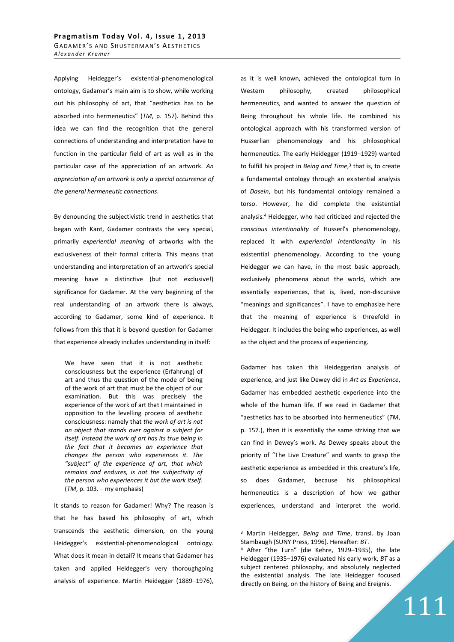Applying Heidegger's existential-phenomenological ontology, Gadamer's main aim is to show, while working out his philosophy of art, that "aesthetics has to be absorbed into hermeneutics" (*TM*, p. 157). Behind this idea we can find the recognition that the general connections of understanding and interpretation have to function in the particular field of art as well as in the particular case of the appreciation of an artwork. *An appreciation of an artwork is only a special occurrence of the general hermeneutic connections*.

By denouncing the subjectivistic trend in aesthetics that began with Kant, Gadamer contrasts the very special, primarily *experiential meaning* of artworks with the exclusiveness of their formal criteria. This means that understanding and interpretation of an artwork's special meaning have a distinctive (but not exclusive!) significance for Gadamer. At the very beginning of the real understanding of an artwork there is always, according to Gadamer, some kind of experience. It follows from this that it is beyond question for Gadamer that experience already includes understanding in itself:

We have seen that it is not aesthetic consciousness but the experience (Erfahrung) of art and thus the question of the mode of being of the work of art that must be the object of our examination. But this was precisely the experience of the work of art that I maintained in opposition to the levelling process of aesthetic consciousness: namely that *the work of art is not an object that stands over against a subject for itself. Instead the work of art has its true being in the fact that it becomes an experience that changes the person who experiences it. The "subject" of the experience of art, that which remains and endures, is not the subjectivity of the person who experiences it but the work itself*. (*TM*, p. 103. – my emphasis)

It stands to reason for Gadamer! Why? The reason is that he has based his philosophy of art, which transcends the aesthetic dimension, on the young Heidegger's existential-phenomenological ontology. What does it mean in detail? It means that Gadamer has taken and applied Heidegger's very thoroughgoing analysis of experience. Martin Heidegger (1889–1976), as it is well known, achieved the ontological turn in Western philosophy, created philosophical hermeneutics, and wanted to answer the question of Being throughout his whole life. He combined his ontological approach with his transformed version of Husserlian phenomenology and his philosophical hermeneutics. The early Heidegger (1919–1929) wanted to fulfill his project in *Being and Time*,<sup>3</sup> that is, to create a fundamental ontology through an existential analysis of *Dasein*, but his fundamental ontology remained a torso. However, he did complete the existential analysis.<sup>4</sup> Heidegger, who had criticized and rejected the *conscious intentionality* of Husserl's phenomenology, replaced it with *experiential intentionality* in his existential phenomenology. According to the young Heidegger we can have, in the most basic approach, exclusively phenomena about the world, which are essentially experiences, that is, lived, non-discursive "meanings and significances". I have to emphasize here that the meaning of experience is threefold in Heidegger. It includes the being who experiences, as well as the object and the process of experiencing.

Gadamer has taken this Heideggerian analysis of experience, and just like Dewey did in *Art as Experience*, Gadamer has embedded aesthetic experience into the whole of the human life. If we read in Gadamer that "aesthetics has to be absorbed into hermeneutics" (*TM*, p. 157.), then it is essentially the same striving that we can find in Dewey's work. As Dewey speaks about the priority of "The Live Creature" and wants to grasp the aesthetic experience as embedded in this creature's life, so does Gadamer, because his philosophical hermeneutics is a description of how we gather experiences, understand and interpret the world.

 $\overline{a}$ 

<sup>3</sup> Martin Heidegger, *Being and Time*, transl. by Joan Stambaugh (SUNY Press, 1996). Hereafter: *BT*.

<sup>4</sup> After "the Turn" (die Kehre, 1929–1935), the late Heidegger (1935–1976) evaluated his early work, *BT* as a subject centered philosophy, and absolutely neglected the existential analysis. The late Heidegger focused directly on Being, on the history of Being and Ereignis.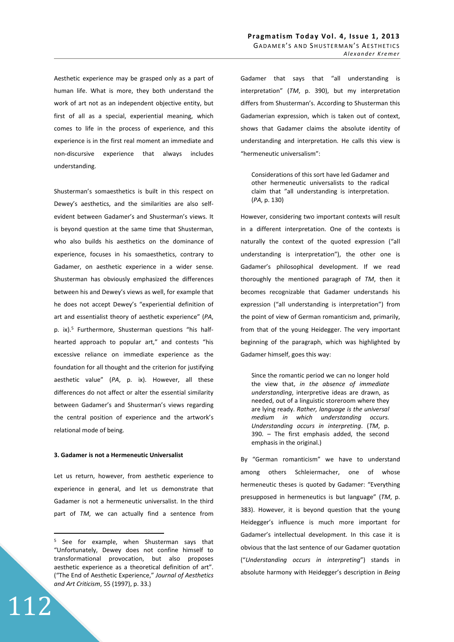Aesthetic experience may be grasped only as a part of human life. What is more, they both understand the work of art not as an independent objective entity, but first of all as a special, experiential meaning, which comes to life in the process of experience, and this experience is in the first real moment an immediate and non-discursive experience that always includes understanding.

Shusterman's somaesthetics is built in this respect on Dewey's aesthetics, and the similarities are also selfevident between Gadamer's and Shusterman's views. It is beyond question at the same time that Shusterman, who also builds his aesthetics on the dominance of experience, focuses in his somaesthetics, contrary to Gadamer, on aesthetic experience in a wider sense. Shusterman has obviously emphasized the differences between his and Dewey's views as well, for example that he does not accept Dewey's "experiential definition of art and essentialist theory of aesthetic experience" (*PA*, p. ix).<sup>5</sup> Furthermore, Shusterman questions "his halfhearted approach to popular art," and contests "his excessive reliance on immediate experience as the foundation for all thought and the criterion for justifying aesthetic value" (*PA*, p. ix). However, all these differences do not affect or alter the essential similarity between Gadamer's and Shusterman's views regarding the central position of experience and the artwork's relational mode of being.

## **3. Gadamer is not a Hermeneutic Universalist**

Let us return, however, from aesthetic experience to experience in general, and let us demonstrate that Gadamer is not a hermeneutic universalist. In the third part of *TM*, we can actually find a sentence from

112

 $\overline{a}$ 

Gadamer that says that "all understanding is interpretation" (*TM*, p. 390), but my interpretation differs from Shusterman's. According to Shusterman this Gadamerian expression, which is taken out of context, shows that Gadamer claims the absolute identity of understanding and interpretation. He calls this view is "hermeneutic universalism":

Considerations of this sort have led Gadamer and other hermeneutic universalists to the radical claim that "all understanding is interpretation. (*PA*, p. 130)

However, considering two important contexts will result in a different interpretation. One of the contexts is naturally the context of the quoted expression ("all understanding is interpretation"), the other one is Gadamer's philosophical development. If we read thoroughly the mentioned paragraph of *TM*, then it becomes recognizable that Gadamer understands his expression ("all understanding is interpretation") from the point of view of German romanticism and, primarily, from that of the young Heidegger. The very important beginning of the paragraph, which was highlighted by Gadamer himself, goes this way:

Since the romantic period we can no longer hold the view that, *in the absence of immediate understanding*, interpretive ideas are drawn, as needed, out of a linguistic storeroom where they are lying ready. *Rather, language is the universal medium in which understanding occurs. Understanding occurs in interpreting*. (*TM*, p. 390. – The first emphasis added, the second emphasis in the original.)

By "German romanticism" we have to understand among others Schleiermacher, one of whose hermeneutic theses is quoted by Gadamer: "Everything presupposed in hermeneutics is but language" (*TM*, p. 383). However, it is beyond question that the young Heidegger's influence is much more important for Gadamer's intellectual development. In this case it is obvious that the last sentence of our Gadamer quotation ("*Understanding occurs in interpreting*") stands in absolute harmony with Heidegger's description in *Being* 

<sup>&</sup>lt;sup>5</sup> See for example, when Shusterman says that "Unfortunately, Dewey does not confine himself to transformational provocation, but also proposes aesthetic experience as a theoretical definition of art". ("The End of Aesthetic Experience," *Journal of Aesthetics and Art Criticism*, 55 (1997), p. 33.)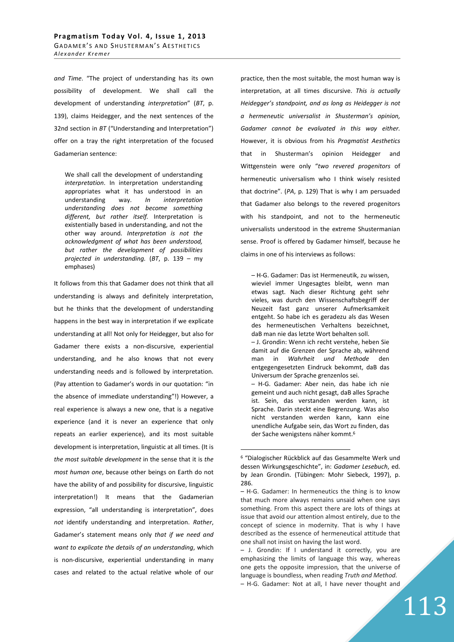*and Time*. "The project of understanding has its own possibility of development. We shall call the development of understanding *interpretation*" (*BT*, p. 139), claims Heidegger, and the next sentences of the 32nd section in *BT* ("Understanding and Interpretation") offer on a tray the right interpretation of the focused Gadamerian sentence:

We shall call the development of understanding *interpretation*. In interpretation understanding appropriates what it has understood in an understanding way. *In interpretation understanding does not become something different, but rather itself.* Interpretation is existentially based in understanding, and not the other way around. *Interpretation is not the acknowledgment of what has been understood, but rather the development of possibilities projected in understanding.* (*BT*, p. 139 – my emphases)

It follows from this that Gadamer does not think that all understanding is always and definitely interpretation, but he thinks that the development of understanding happens in the best way in interpretation if we explicate understanding at all! Not only for Heidegger, but also for Gadamer there exists a non-discursive, experiential understanding, and he also knows that not every understanding needs and is followed by interpretation. (Pay attention to Gadamer's words in our quotation: "in the absence of immediate understanding"!) However, a real experience is always a new one, that is a negative experience (and it is never an experience that only repeats an earlier experience), and its most suitable development is interpretation, linguistic at all times. (It is *the most suitable development* in the sense that it is *the most human one*, because other beings on Earth do not have the ability of and possibility for discursive, linguistic interpretation!) It means that the Gadamerian expression, "all understanding is interpretation", does *not* identify understanding and interpretation. *Rather*, Gadamer's statement means only *that if we need and want to explicate the details of an understanding*, which is non-discursive, experiential understanding in many cases and related to the actual relative whole of our

practice, then the most suitable, the most human way is interpretation, at all times discursive. *This is actually Heidegger's standpoint, and as long as Heidegger is not a hermeneutic universalist in Shusterman's opinion, Gadamer cannot be evaluated in this way either.* However, it is obvious from his *Pragmatist Aesthetics* that in Shusterman's opinion Heidegger and Wittgenstein were only "*two revered progenitors* of hermeneutic universalism who I think wisely resisted that doctrine". (*PA*, p. 129) That is why I am persuaded that Gadamer also belongs to the revered progenitors with his standpoint, and not to the hermeneutic universalists understood in the extreme Shustermanian sense. Proof is offered by Gadamer himself, because he claims in one of his interviews as follows:

– H-G. Gadamer: Das ist Hermeneutik, zu wissen, wieviel immer Ungesagtes bleibt, wenn man etwas sagt. Nach dieser Richtung geht sehr vieles, was durch den Wissenschaftsbegriff der Neuzeit fast ganz unserer Aufmerksamkeit entgeht. So habe ich es geradezu als das Wesen des hermeneutischen Verhaltens bezeichnet, daB man nie das letzte Wort behalten soll. – J. Grondin: Wenn ich recht verstehe, heben Sie damit auf die Grenzen der Sprache ab, während man in *Wahrheit und Methode* den entgegengesetzten Eindruck bekommt, daB das Universum der Sprache grenzenlos sei. – H-G. Gadamer: Aber nein, das habe ich nie gemeint und auch nicht gesagt, daB alles Sprache ist. Sein, das verstanden werden kann, ist Sprache. Darin steckt eine Begrenzung. Was also nicht verstanden werden kann, kann eine unendliche Aufgabe sein, das Wort zu finden, das der Sache wenigstens näher kommt.<sup>6</sup>

 $\overline{a}$ 

<sup>&</sup>lt;sup>6</sup> "Dialogischer Rückblick auf das Gesammelte Werk und dessen Wirkungsgeschichte", in: *Gadamer Lesebuch*, ed. by Jean Grondin. (Tübingen: Mohr Siebeck, 1997), p. 286.

<sup>–</sup> H-G. Gadamer: In hermeneutics the thing is to know that much more always remains unsaid when one says something. From this aspect there are lots of things at issue that avoid our attention almost entirely, due to the concept of science in modernity. That is why I have described as the essence of hermeneutical attitude that one shall not insist on having the last word.

<sup>–</sup> J. Grondin: If I understand it correctly, you are emphasizing the limits of language this way, whereas one gets the opposite impression*,* that the universe of language is boundless, when reading *Truth and Method.* – H-G. Gadamer: Not at all, I have never thought and